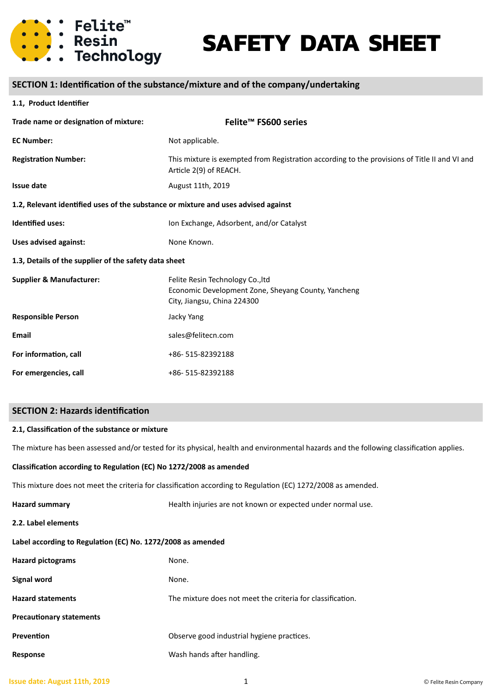

# **SAFETY DATA SHEET**

# **SECTION 1: Identification of the substance/mixture and of the company/undertaking**

#### **1.1, Product Identifier**

| Trade name or designation of mixture:                                              | Felite <sup>™</sup> FS600 series                                                                                        |  |  |
|------------------------------------------------------------------------------------|-------------------------------------------------------------------------------------------------------------------------|--|--|
| <b>EC Number:</b>                                                                  | Not applicable.                                                                                                         |  |  |
| <b>Registration Number:</b>                                                        | This mixture is exempted from Registration according to the provisions of Title II and VI and<br>Article 2(9) of REACH. |  |  |
| <b>Issue date</b>                                                                  | August 11th, 2019                                                                                                       |  |  |
| 1.2, Relevant identified uses of the substance or mixture and uses advised against |                                                                                                                         |  |  |
| Identified uses:                                                                   | Ion Exchange, Adsorbent, and/or Catalyst                                                                                |  |  |
| <b>Uses advised against:</b>                                                       | None Known.                                                                                                             |  |  |
| 1.3, Details of the supplier of the safety data sheet                              |                                                                                                                         |  |  |
| <b>Supplier &amp; Manufacturer:</b>                                                | Felite Resin Technology Co., Itd<br>Economic Development Zone, Sheyang County, Yancheng<br>City, Jiangsu, China 224300  |  |  |
| <b>Responsible Person</b>                                                          | Jacky Yang                                                                                                              |  |  |
| <b>Email</b>                                                                       | sales@felitecn.com                                                                                                      |  |  |
| For information, call                                                              | +86-515-82392188                                                                                                        |  |  |
| For emergencies, call                                                              | +86-515-82392188                                                                                                        |  |  |

### **SECTION 2: Hazards identification**

#### **2.1, Classification of the substance or mixture**

The mixture has been assessed and/or tested for its physical, health and environmental hazards and the following classification applies.

#### **Classification according to Regulation (EC) No 1272/2008 as amended**

This mixture does not meet the criteria for classification according to Regulation (EC) 1272/2008 as amended.

| <b>Hazard summary</b>                                       | Health injuries are not known or expected under normal use. |  |  |
|-------------------------------------------------------------|-------------------------------------------------------------|--|--|
| 2.2. Label elements                                         |                                                             |  |  |
| Label according to Regulation (EC) No. 1272/2008 as amended |                                                             |  |  |
| <b>Hazard pictograms</b>                                    | None.                                                       |  |  |
| <b>Signal word</b>                                          | None.                                                       |  |  |
| <b>Hazard statements</b>                                    | The mixture does not meet the criteria for classification.  |  |  |
| <b>Precautionary statements</b>                             |                                                             |  |  |
| Prevention                                                  | Observe good industrial hygiene practices.                  |  |  |
| Response                                                    | Wash hands after handling.                                  |  |  |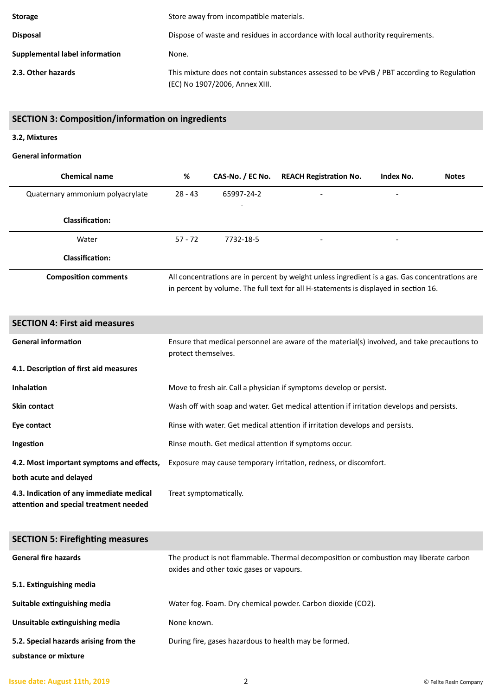| <b>Storage</b>                 | Store away from incompatible materials.                                                                                      |  |
|--------------------------------|------------------------------------------------------------------------------------------------------------------------------|--|
| <b>Disposal</b>                | Dispose of waste and residues in accordance with local authority requirements.                                               |  |
| Supplemental label information | None.                                                                                                                        |  |
| 2.3. Other hazards             | This mixture does not contain substances assessed to be vPvB / PBT according to Regulation<br>(EC) No 1907/2006, Annex XIII. |  |

# **SECTION 3: Composition/information on ingredients**

# **3.2, Mixtures**

# **General information**

| <b>Chemical name</b>             | %         | CAS-No. / EC No.         | <b>REACH Registration No.</b>                                                                                                                                                          | Index No. | <b>Notes</b> |
|----------------------------------|-----------|--------------------------|----------------------------------------------------------------------------------------------------------------------------------------------------------------------------------------|-----------|--------------|
| Quaternary ammonium polyacrylate | $28 - 43$ | 65997-24-2               |                                                                                                                                                                                        |           |              |
| Classification:                  |           | $\overline{\phantom{a}}$ |                                                                                                                                                                                        |           |              |
| Water                            | $57 - 72$ | 7732-18-5                |                                                                                                                                                                                        |           |              |
| <b>Classification:</b>           |           |                          |                                                                                                                                                                                        |           |              |
| <b>Composition comments</b>      |           |                          | All concentrations are in percent by weight unless ingredient is a gas. Gas concentrations are<br>in percent by volume. The full text for all H-statements is displayed in section 16. |           |              |

| <b>SECTION 4: First aid measures</b>                                               |                                                                                                                     |
|------------------------------------------------------------------------------------|---------------------------------------------------------------------------------------------------------------------|
| <b>General information</b>                                                         | Ensure that medical personnel are aware of the material(s) involved, and take precautions to<br>protect themselves. |
| 4.1. Description of first aid measures                                             |                                                                                                                     |
| <b>Inhalation</b>                                                                  | Move to fresh air. Call a physician if symptoms develop or persist.                                                 |
| <b>Skin contact</b>                                                                | Wash off with soap and water. Get medical attention if irritation develops and persists.                            |
| Eye contact                                                                        | Rinse with water. Get medical attention if irritation develops and persists.                                        |
| Ingestion                                                                          | Rinse mouth. Get medical attention if symptoms occur.                                                               |
| 4.2. Most important symptoms and effects,                                          | Exposure may cause temporary irritation, redness, or discomfort.                                                    |
| both acute and delayed                                                             |                                                                                                                     |
| 4.3. Indication of any immediate medical<br>attention and special treatment needed | Treat symptomatically.                                                                                              |

| <b>SECTION 5: Firefighting measures</b> |                                                                                                                                   |
|-----------------------------------------|-----------------------------------------------------------------------------------------------------------------------------------|
| <b>General fire hazards</b>             | The product is not flammable. Thermal decomposition or combustion may liberate carbon<br>oxides and other toxic gases or vapours. |
| 5.1. Extinguishing media                |                                                                                                                                   |
| Suitable extinguishing media            | Water fog. Foam. Dry chemical powder. Carbon dioxide (CO2).                                                                       |
| Unsuitable extinguishing media          | None known.                                                                                                                       |
| 5.2. Special hazards arising from the   | During fire, gases hazardous to health may be formed.                                                                             |
| substance or mixture                    |                                                                                                                                   |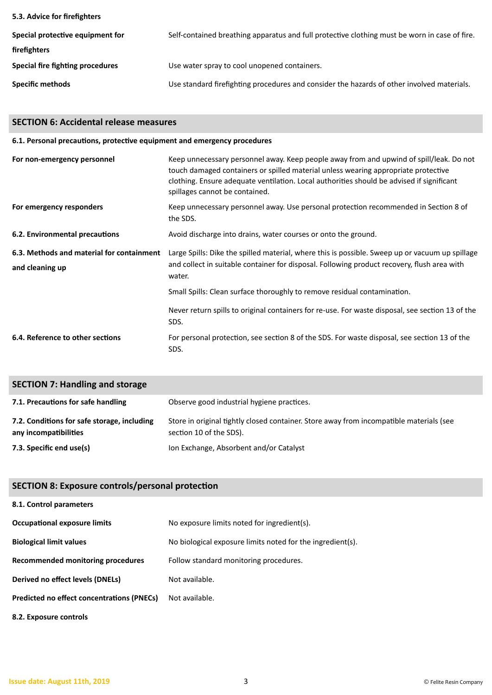| 5.3. Advice for firefighters     |                                                                                               |
|----------------------------------|-----------------------------------------------------------------------------------------------|
| Special protective equipment for | Self-contained breathing apparatus and full protective clothing must be worn in case of fire. |
| firefighters                     |                                                                                               |
| Special fire fighting procedures | Use water spray to cool unopened containers.                                                  |
| Specific methods                 | Use standard firefighting procedures and consider the hazards of other involved materials.    |

# **SECTION 6: Accidental release measures**

| 6.1. Personal precautions, protective equipment and emergency procedures |                                                                                                                                                                                                                                                                                                              |  |  |
|--------------------------------------------------------------------------|--------------------------------------------------------------------------------------------------------------------------------------------------------------------------------------------------------------------------------------------------------------------------------------------------------------|--|--|
| For non-emergency personnel                                              | Keep unnecessary personnel away. Keep people away from and upwind of spill/leak. Do not<br>touch damaged containers or spilled material unless wearing appropriate protective<br>clothing. Ensure adequate ventilation. Local authorities should be advised if significant<br>spillages cannot be contained. |  |  |
| For emergency responders                                                 | Keep unnecessary personnel away. Use personal protection recommended in Section 8 of<br>the SDS.                                                                                                                                                                                                             |  |  |
| 6.2. Environmental precautions                                           | Avoid discharge into drains, water courses or onto the ground.                                                                                                                                                                                                                                               |  |  |
| 6.3. Methods and material for containment<br>and cleaning up             | Large Spills: Dike the spilled material, where this is possible. Sweep up or vacuum up spillage<br>and collect in suitable container for disposal. Following product recovery, flush area with<br>water.                                                                                                     |  |  |
|                                                                          | Small Spills: Clean surface thoroughly to remove residual contamination.                                                                                                                                                                                                                                     |  |  |
|                                                                          | Never return spills to original containers for re-use. For waste disposal, see section 13 of the<br>SDS.                                                                                                                                                                                                     |  |  |
| 6.4. Reference to other sections                                         | For personal protection, see section 8 of the SDS. For waste disposal, see section 13 of the<br>SDS.                                                                                                                                                                                                         |  |  |

| <b>SECTION 7: Handling and storage</b>                               |                                                                                                                    |
|----------------------------------------------------------------------|--------------------------------------------------------------------------------------------------------------------|
| 7.1. Precautions for safe handling                                   | Observe good industrial hygiene practices.                                                                         |
| 7.2. Conditions for safe storage, including<br>any incompatibilities | Store in original tightly closed container. Store away from incompatible materials (see<br>section 10 of the SDS). |
| 7.3. Specific end use(s)                                             | Ion Exchange, Absorbent and/or Catalyst                                                                            |

# **SECTION 8: Exposure controls/personal protection**

| 8.1. Control parameters                    |                                                            |
|--------------------------------------------|------------------------------------------------------------|
| Occupational exposure limits               | No exposure limits noted for ingredient(s).                |
| <b>Biological limit values</b>             | No biological exposure limits noted for the ingredient(s). |
| Recommended monitoring procedures          | Follow standard monitoring procedures.                     |
| Derived no effect levels (DNELs)           | Not available.                                             |
| Predicted no effect concentrations (PNECs) | Not available.                                             |
| 8.2. Exposure controls                     |                                                            |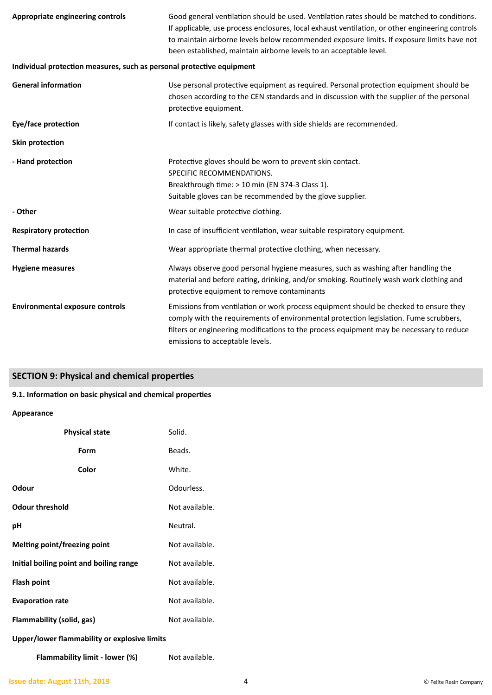| Appropriate engineering controls                                      | Good general ventilation should be used. Ventilation rates should be matched to conditions.<br>If applicable, use process enclosures, local exhaust ventilation, or other engineering controls<br>to maintain airborne levels below recommended exposure limits. If exposure limits have not<br>been established, maintain airborne levels to an acceptable level. |
|-----------------------------------------------------------------------|--------------------------------------------------------------------------------------------------------------------------------------------------------------------------------------------------------------------------------------------------------------------------------------------------------------------------------------------------------------------|
| Individual protection measures, such as personal protective equipment |                                                                                                                                                                                                                                                                                                                                                                    |
| <b>General information</b>                                            | Use personal protective equipment as required. Personal protection equipment should be<br>chosen according to the CEN standards and in discussion with the supplier of the personal<br>protective equipment.                                                                                                                                                       |
| Eye/face protection                                                   | If contact is likely, safety glasses with side shields are recommended.                                                                                                                                                                                                                                                                                            |
| Skin protection                                                       |                                                                                                                                                                                                                                                                                                                                                                    |
| - Hand protection                                                     | Protective gloves should be worn to prevent skin contact.<br>SPECIFIC RECOMMENDATIONS.<br>Breakthrough time: > 10 min (EN 374-3 Class 1).<br>Suitable gloves can be recommended by the glove supplier.                                                                                                                                                             |
| - Other                                                               | Wear suitable protective clothing.                                                                                                                                                                                                                                                                                                                                 |
| <b>Respiratory protection</b>                                         | In case of insufficient ventilation, wear suitable respiratory equipment.                                                                                                                                                                                                                                                                                          |
| <b>Thermal hazards</b>                                                | Wear appropriate thermal protective clothing, when necessary.                                                                                                                                                                                                                                                                                                      |
| <b>Hygiene measures</b>                                               | Always observe good personal hygiene measures, such as washing after handling the<br>material and before eating, drinking, and/or smoking. Routinely wash work clothing and<br>protective equipment to remove contaminants                                                                                                                                         |
| <b>Environmental exposure controls</b>                                | Emissions from ventilation or work process equipment should be checked to ensure they<br>comply with the requirements of environmental protection legislation. Fume scrubbers,<br>filters or engineering modifications to the process equipment may be necessary to reduce<br>emissions to acceptable levels.                                                      |

# **SECTION 9: Physical and chemical properties**

# **9.1. Information on basic physical and chemical properties**

# **Appearance**

| <b>Physical state</b>                   | Solid.         |
|-----------------------------------------|----------------|
| Form                                    | Beads.         |
| Color                                   | White.         |
| Odour                                   | Odourless.     |
| <b>Odour threshold</b>                  | Not available. |
| рH                                      | Neutral.       |
| Melting point/freezing point            | Not available. |
| Initial boiling point and boiling range | Not available. |
| Flash point                             | Not available. |
| <b>Evaporation rate</b>                 | Not available. |
| Flammability (solid, gas)               | Not available. |
|                                         |                |

# **Upper/lower flammability or explosive limits**

**Flammability limit - lower (%)** Not available.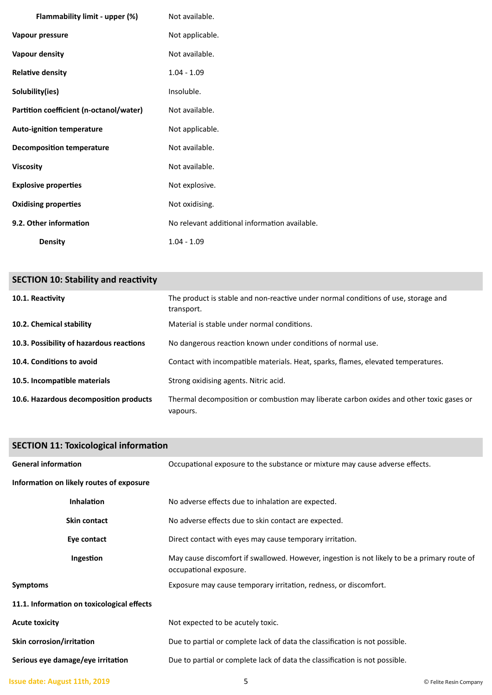| Flammability limit - upper (%)          | Not available.                                |
|-----------------------------------------|-----------------------------------------------|
| Vapour pressure                         | Not applicable.                               |
| Vapour density                          | Not available.                                |
| <b>Relative density</b>                 | $1.04 - 1.09$                                 |
| Solubility(ies)                         | Insoluble.                                    |
| Partition coefficient (n-octanol/water) | Not available.                                |
| <b>Auto-ignition temperature</b>        | Not applicable.                               |
| <b>Decomposition temperature</b>        | Not available.                                |
| <b>Viscosity</b>                        | Not available.                                |
| <b>Explosive properties</b>             | Not explosive.                                |
| <b>Oxidising properties</b>             | Not oxidising.                                |
| 9.2. Other information                  | No relevant additional information available. |
| <b>Density</b>                          | $1.04 - 1.09$                                 |

| <b>SECTION 10: Stability and reactivity</b> |                                                                                                     |
|---------------------------------------------|-----------------------------------------------------------------------------------------------------|
| 10.1. Reactivity                            | The product is stable and non-reactive under normal conditions of use, storage and<br>transport.    |
| 10.2. Chemical stability                    | Material is stable under normal conditions.                                                         |
| 10.3. Possibility of hazardous reactions    | No dangerous reaction known under conditions of normal use.                                         |
| 10.4. Conditions to avoid                   | Contact with incompatible materials. Heat, sparks, flames, elevated temperatures.                   |
| 10.5. Incompatible materials                | Strong oxidising agents. Nitric acid.                                                               |
| 10.6. Hazardous decomposition products      | Thermal decomposition or combustion may liberate carbon oxides and other toxic gases or<br>vapours. |

| <b>SECTION 11: Toxicological information</b> |                                                                                                                        |
|----------------------------------------------|------------------------------------------------------------------------------------------------------------------------|
| <b>General information</b>                   | Occupational exposure to the substance or mixture may cause adverse effects.                                           |
| Information on likely routes of exposure     |                                                                                                                        |
| <b>Inhalation</b>                            | No adverse effects due to inhalation are expected.                                                                     |
| <b>Skin contact</b>                          | No adverse effects due to skin contact are expected.                                                                   |
| Eye contact                                  | Direct contact with eyes may cause temporary irritation.                                                               |
| Ingestion                                    | May cause discomfort if swallowed. However, ingestion is not likely to be a primary route of<br>occupational exposure. |
| <b>Symptoms</b>                              | Exposure may cause temporary irritation, redness, or discomfort.                                                       |
| 11.1. Information on toxicological effects   |                                                                                                                        |
| <b>Acute toxicity</b>                        | Not expected to be acutely toxic.                                                                                      |
| Skin corrosion/irritation                    | Due to partial or complete lack of data the classification is not possible.                                            |
| Serious eye damage/eye irritation            | Due to partial or complete lack of data the classification is not possible.                                            |

```
Issue date: August 11th, 2019 1998 1998 1999 1999 1999 1999 1999 1999 1999 1999 1999 1999 1999 1999 1999 1999 1999 1999 1999 1999 1999 1999 1999 1999 1999 1999 1999
```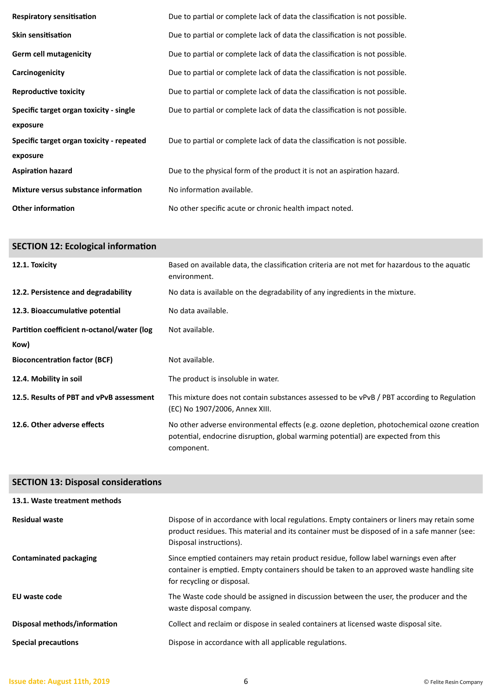| <b>Respiratory sensitisation</b>          | Due to partial or complete lack of data the classification is not possible. |
|-------------------------------------------|-----------------------------------------------------------------------------|
| <b>Skin sensitisation</b>                 | Due to partial or complete lack of data the classification is not possible. |
| <b>Germ cell mutagenicity</b>             | Due to partial or complete lack of data the classification is not possible. |
| Carcinogenicity                           | Due to partial or complete lack of data the classification is not possible. |
| <b>Reproductive toxicity</b>              | Due to partial or complete lack of data the classification is not possible. |
| Specific target organ toxicity - single   | Due to partial or complete lack of data the classification is not possible. |
| exposure                                  |                                                                             |
| Specific target organ toxicity - repeated | Due to partial or complete lack of data the classification is not possible. |
| exposure                                  |                                                                             |
| <b>Aspiration hazard</b>                  | Due to the physical form of the product it is not an aspiration hazard.     |
| Mixture versus substance information      | No information available.                                                   |
| <b>Other information</b>                  | No other specific acute or chronic health impact noted.                     |

| <b>SECTION 12: Ecological information</b>  |                                                                                                                                                                                               |
|--------------------------------------------|-----------------------------------------------------------------------------------------------------------------------------------------------------------------------------------------------|
| 12.1. Toxicity                             | Based on available data, the classification criteria are not met for hazardous to the aquatic<br>environment.                                                                                 |
| 12.2. Persistence and degradability        | No data is available on the degradability of any ingredients in the mixture.                                                                                                                  |
| 12.3. Bioaccumulative potential            | No data available.                                                                                                                                                                            |
| Partition coefficient n-octanol/water (log | Not available.                                                                                                                                                                                |
| Kow)                                       |                                                                                                                                                                                               |
| <b>Bioconcentration factor (BCF)</b>       | Not available.                                                                                                                                                                                |
| 12.4. Mobility in soil                     | The product is insoluble in water.                                                                                                                                                            |
| 12.5. Results of PBT and vPvB assessment   | This mixture does not contain substances assessed to be vPvB / PBT according to Regulation<br>(EC) No 1907/2006, Annex XIII.                                                                  |
| 12.6. Other adverse effects                | No other adverse environmental effects (e.g. ozone depletion, photochemical ozone creation<br>potential, endocrine disruption, global warming potential) are expected from this<br>component. |

| <b>SECTION 13: Disposal considerations</b> |                                                                                                                                                                                                                        |
|--------------------------------------------|------------------------------------------------------------------------------------------------------------------------------------------------------------------------------------------------------------------------|
| 13.1. Waste treatment methods              |                                                                                                                                                                                                                        |
| <b>Residual waste</b>                      | Dispose of in accordance with local regulations. Empty containers or liners may retain some<br>product residues. This material and its container must be disposed of in a safe manner (see:<br>Disposal instructions). |
| <b>Contaminated packaging</b>              | Since emptied containers may retain product residue, follow label warnings even after<br>container is emptied. Empty containers should be taken to an approved waste handling site<br>for recycling or disposal.       |
| EU waste code                              | The Waste code should be assigned in discussion between the user, the producer and the<br>waste disposal company.                                                                                                      |
| Disposal methods/information               | Collect and reclaim or dispose in sealed containers at licensed waste disposal site.                                                                                                                                   |
| <b>Special precautions</b>                 | Dispose in accordance with all applicable regulations.                                                                                                                                                                 |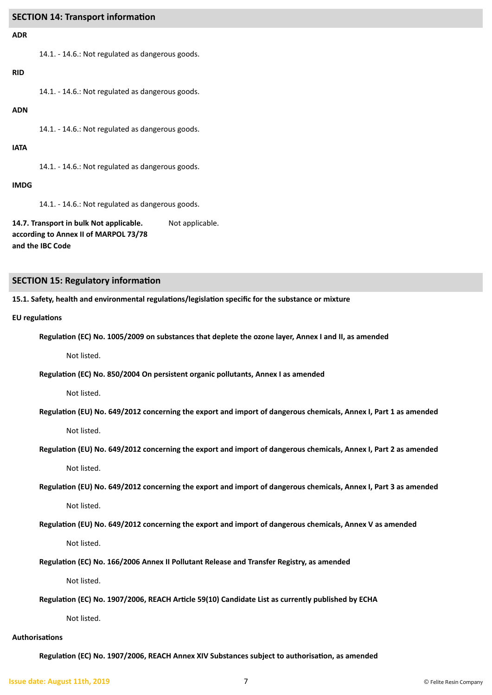## **SECTION 14: Transport information**

#### **ADR**

14.1. - 14.6.: Not regulated as dangerous goods.

## **RID**

14.1. - 14.6.: Not regulated as dangerous goods.

#### **ADN**

14.1. - 14.6.: Not regulated as dangerous goods.

#### **IATA**

14.1. - 14.6.: Not regulated as dangerous goods.

#### **IMDG**

14.1. - 14.6.: Not regulated as dangerous goods.

**14.7. Transport in bulk Not applicable. according to Annex II of MARPOL 73/78 and the IBC Code** Not applicable.

#### **SECTION 15: Regulatory information**

**15.1. Safety, health and environmental regulations/legislation specific for the substance or mixture**

#### **EU regulations**

**Regulation (EC) No. 1005/2009 on substances that deplete the ozone layer, Annex I and II, as amended**

Not listed.

**Regulation (EC) No. 850/2004 On persistent organic pollutants, Annex I as amended**

Not listed.

**Regulation (EU) No. 649/2012 concerning the export and import of dangerous chemicals, Annex I, Part 1 as amended**

Not listed.

**Regulation (EU) No. 649/2012 concerning the export and import of dangerous chemicals, Annex I, Part 2 as amended**

Not listed.

**Regulation (EU) No. 649/2012 concerning the export and import of dangerous chemicals, Annex I, Part 3 as amended**

Not listed.

**Regulation (EU) No. 649/2012 concerning the export and import of dangerous chemicals, Annex V as amended**

Not listed.

**Regulation (EC) No. 166/2006 Annex II Pollutant Release and Transfer Registry, as amended**

Not listed.

**Regulation (EC) No. 1907/2006, REACH Article 59(10) Candidate List as currently published by ECHA**

Not listed.

#### **Authorisations**

**Regulation (EC) No. 1907/2006, REACH Annex XIV Substances subject to authorisation, as amended**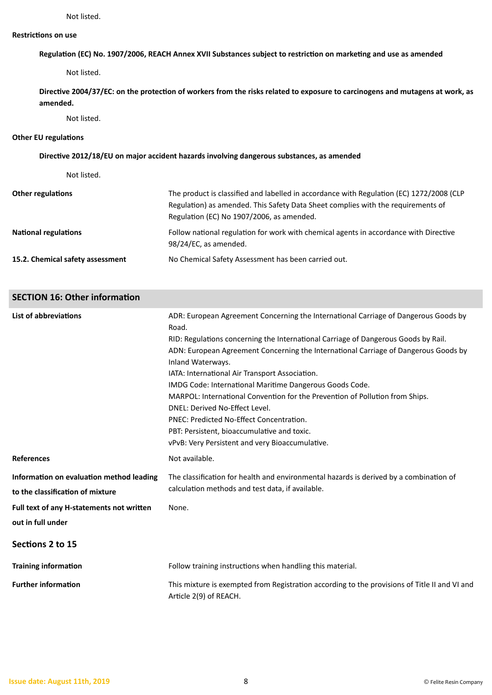#### **Restrictions on use**

**Regulation (EC) No. 1907/2006, REACH Annex XVII Substances subject to restriction on marketing and use as amended**

Not listed.

**Directive 2004/37/EC: on the protection of workers from the risks related to exposure to carcinogens and mutagens at work, as amended.**

Not listed.

#### **Other EU regulations**

#### **Directive 2012/18/EU on major accident hazards involving dangerous substances, as amended**

Not listed.

| <b>Other regulations</b>         | The product is classified and labelled in accordance with Regulation (EC) 1272/2008 (CLP<br>Regulation) as amended. This Safety Data Sheet complies with the requirements of<br>Regulation (EC) No 1907/2006, as amended. |
|----------------------------------|---------------------------------------------------------------------------------------------------------------------------------------------------------------------------------------------------------------------------|
| <b>National regulations</b>      | Follow national regulation for work with chemical agents in accordance with Directive<br>98/24/EC, as amended.                                                                                                            |
| 15.2. Chemical safety assessment | No Chemical Safety Assessment has been carried out.                                                                                                                                                                       |

# **SECTION 16: Other information**

| List of abbreviations                     | ADR: European Agreement Concerning the International Carriage of Dangerous Goods by<br>Road.                            |
|-------------------------------------------|-------------------------------------------------------------------------------------------------------------------------|
|                                           | RID: Regulations concerning the International Carriage of Dangerous Goods by Rail.                                      |
|                                           | ADN: European Agreement Concerning the International Carriage of Dangerous Goods by                                     |
|                                           | Inland Waterways.                                                                                                       |
|                                           | IATA: International Air Transport Association.                                                                          |
|                                           | IMDG Code: International Maritime Dangerous Goods Code.                                                                 |
|                                           | MARPOL: International Convention for the Prevention of Pollution from Ships.                                            |
|                                           | DNEL: Derived No-Effect Level.                                                                                          |
|                                           | PNEC: Predicted No-Effect Concentration.                                                                                |
|                                           | PBT: Persistent, bioaccumulative and toxic.                                                                             |
|                                           | vPvB: Very Persistent and very Bioaccumulative.                                                                         |
| <b>References</b>                         | Not available.                                                                                                          |
| Information on evaluation method leading  | The classification for health and environmental hazards is derived by a combination of                                  |
| to the classification of mixture          | calculation methods and test data, if available.                                                                        |
| Full text of any H-statements not written | None.                                                                                                                   |
| out in full under                         |                                                                                                                         |
| Sections 2 to 15                          |                                                                                                                         |
| <b>Training information</b>               | Follow training instructions when handling this material.                                                               |
| <b>Further information</b>                | This mixture is exempted from Registration according to the provisions of Title II and VI and<br>Article 2(9) of REACH. |